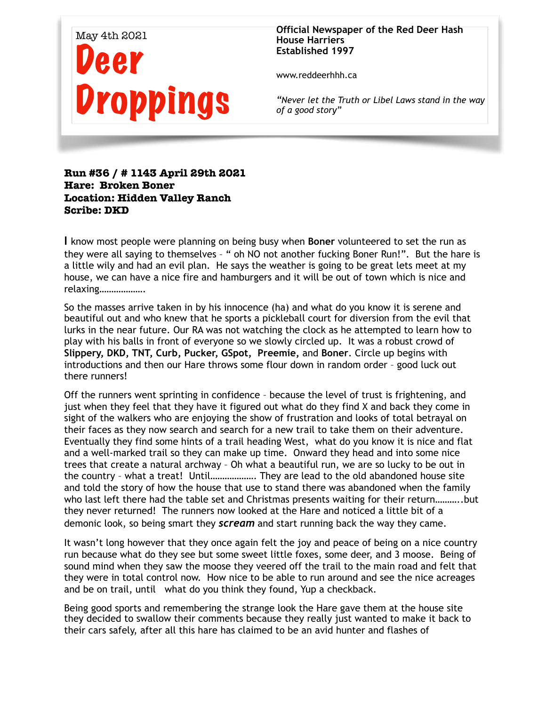

**Official Newspaper of the Red Deer Hash House Harriers Established 1997** 

www.reddeerhhh.ca

*"Never let the Truth or Libel Laws stand in the way of a good story"*

## **Run #36 / # 1143 April 29th 2021 Hare: Broken Boner Location: Hidden Valley Ranch Scribe: DKD**

**I** know most people were planning on being busy when **Boner** volunteered to set the run as they were all saying to themselves – " oh NO not another fucking Boner Run!". But the hare is a little wily and had an evil plan. He says the weather is going to be great lets meet at my house, we can have a nice fire and hamburgers and it will be out of town which is nice and relaxing……………….

So the masses arrive taken in by his innocence (ha) and what do you know it is serene and beautiful out and who knew that he sports a pickleball court for diversion from the evil that lurks in the near future. Our RA was not watching the clock as he attempted to learn how to play with his balls in front of everyone so we slowly circled up. It was a robust crowd of **Slippery, DKD, TNT, Curb, Pucker, GSpot, Preemie,** and **Boner**. Circle up begins with introductions and then our Hare throws some flour down in random order – good luck out there runners!

Off the runners went sprinting in confidence – because the level of trust is frightening, and just when they feel that they have it figured out what do they find X and back they come in sight of the walkers who are enjoying the show of frustration and looks of total betrayal on their faces as they now search and search for a new trail to take them on their adventure. Eventually they find some hints of a trail heading West, what do you know it is nice and flat and a well-marked trail so they can make up time. Onward they head and into some nice trees that create a natural archway – Oh what a beautiful run, we are so lucky to be out in the country – what a treat! Until………………. They are lead to the old abandoned house site and told the story of how the house that use to stand there was abandoned when the family who last left there had the table set and Christmas presents waiting for their return………..but they never returned! The runners now looked at the Hare and noticed a little bit of a demonic look, so being smart they *scream* and start running back the way they came.

It wasn't long however that they once again felt the joy and peace of being on a nice country run because what do they see but some sweet little foxes, some deer, and 3 moose. Being of sound mind when they saw the moose they veered off the trail to the main road and felt that they were in total control now. How nice to be able to run around and see the nice acreages and be on trail, until what do you think they found, Yup a checkback.

Being good sports and remembering the strange look the Hare gave them at the house site they decided to swallow their comments because they really just wanted to make it back to their cars safely, after all this hare has claimed to be an avid hunter and flashes of